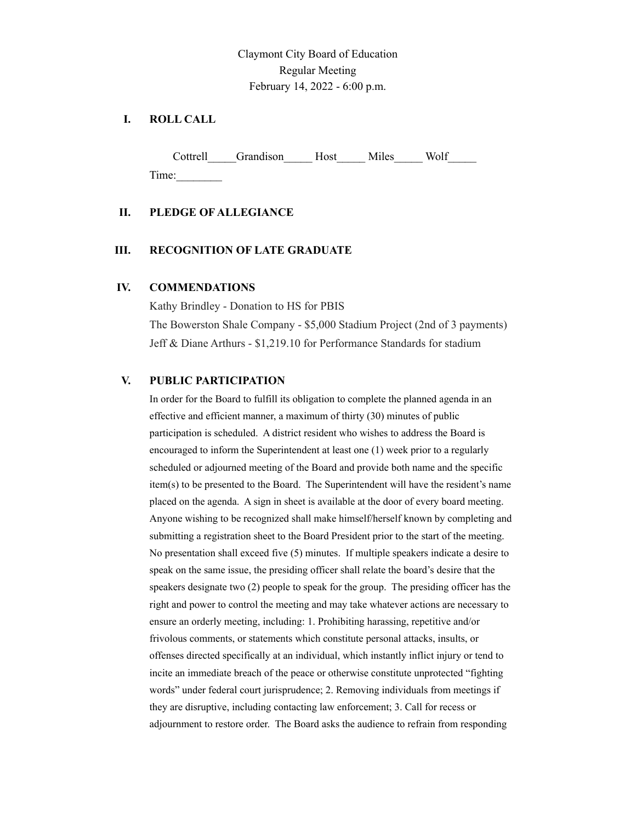Claymont City Board of Education Regular Meeting February 14, 2022 - 6:00 p.m.

# **I. ROLL CALL**

Cottrell Grandison Host Miles Wolf Time:

### **II. PLEDGE OF ALLEGIANCE**

#### **III. RECOGNITION OF LATE GRADUATE**

#### **IV. COMMENDATIONS**

Kathy Brindley - Donation to HS for PBIS The Bowerston Shale Company - \$5,000 Stadium Project (2nd of 3 payments) Jeff & Diane Arthurs - \$1,219.10 for Performance Standards for stadium

#### **V. PUBLIC PARTICIPATION**

In order for the Board to fulfill its obligation to complete the planned agenda in an effective and efficient manner, a maximum of thirty (30) minutes of public participation is scheduled. A district resident who wishes to address the Board is encouraged to inform the Superintendent at least one (1) week prior to a regularly scheduled or adjourned meeting of the Board and provide both name and the specific item(s) to be presented to the Board. The Superintendent will have the resident's name placed on the agenda. A sign in sheet is available at the door of every board meeting. Anyone wishing to be recognized shall make himself/herself known by completing and submitting a registration sheet to the Board President prior to the start of the meeting. No presentation shall exceed five (5) minutes. If multiple speakers indicate a desire to speak on the same issue, the presiding officer shall relate the board's desire that the speakers designate two (2) people to speak for the group. The presiding officer has the right and power to control the meeting and may take whatever actions are necessary to ensure an orderly meeting, including: 1. Prohibiting harassing, repetitive and/or frivolous comments, or statements which constitute personal attacks, insults, or offenses directed specifically at an individual, which instantly inflict injury or tend to incite an immediate breach of the peace or otherwise constitute unprotected "fighting words" under federal court jurisprudence; 2. Removing individuals from meetings if they are disruptive, including contacting law enforcement; 3. Call for recess or adjournment to restore order. The Board asks the audience to refrain from responding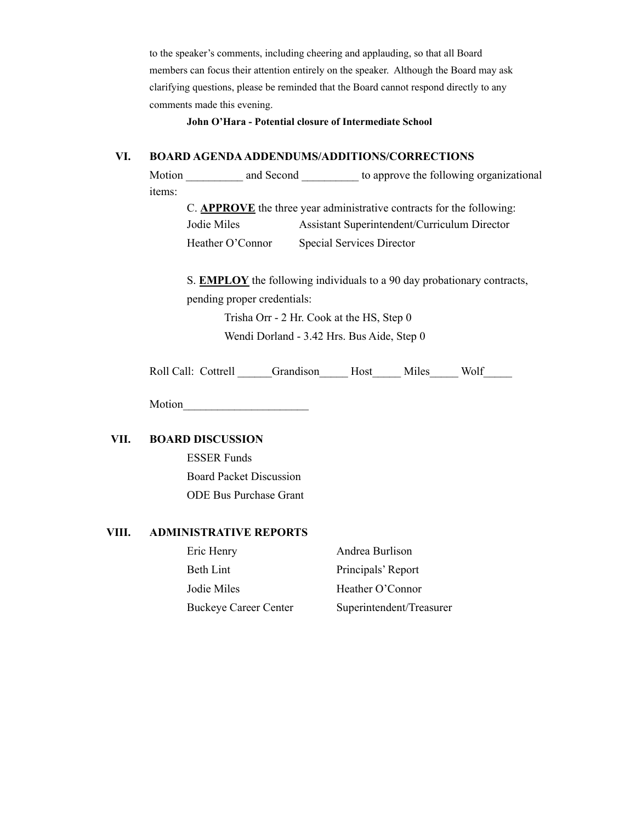to the speaker's comments, including cheering and applauding, so that all Board members can focus their attention entirely on the speaker. Although the Board may ask clarifying questions, please be reminded that the Board cannot respond directly to any comments made this evening.

**John O'Hara - Potential closure of Intermediate School**

### **VI. BOARD AGENDAADDENDUMS/ADDITIONS/CORRECTIONS**

Motion \_\_\_\_\_\_\_\_\_\_ and Second \_\_\_\_\_\_\_\_\_\_ to approve the following organizational items:

C. **APPROVE** the three year administrative contracts for the following: Jodie Miles Assistant Superintendent/Curriculum Director Heather O'Connor Special Services Director

S. **EMPLOY** the following individuals to a 90 day probationary contracts, pending proper credentials:

> Trisha Orr - 2 Hr. Cook at the HS, Step 0 Wendi Dorland - 3.42 Hrs. Bus Aide, Step 0

| Roll Call: Cottrell | Grandison | Host | Miles | Wolf |
|---------------------|-----------|------|-------|------|
|                     |           |      |       |      |

Motion

# **VII. BOARD DISCUSSION**

ESSER Funds Board Packet Discussion ODE Bus Purchase Grant

#### **VIII. ADMINISTRATIVE REPORTS**

| Eric Henry                   | Andrea Burlison          |
|------------------------------|--------------------------|
| Beth Lint                    | Principals' Report       |
| Jodie Miles                  | Heather O'Connor         |
| <b>Buckeye Career Center</b> | Superintendent/Treasurer |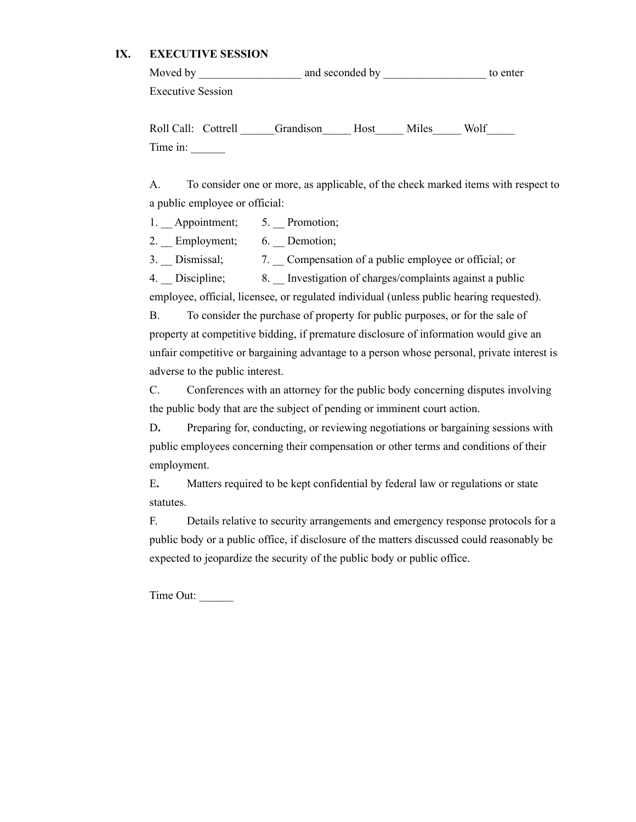# **IX. EXECUTIVE SESSION**

| Moved by                        |  |           |      |       | to enter |
|---------------------------------|--|-----------|------|-------|----------|
| <b>Executive Session</b>        |  |           |      |       |          |
| Roll Call: Cottrell<br>Time in: |  | Grandison | Host | Miles | Wolf     |

A. To consider one or more, as applicable, of the check marked items with respect to a public employee or official:

1. \_\_ Appointment; 5. \_\_ Promotion;

2. Employment; 6. Demotion;

3. Dismissal; 7. Compensation of a public employee or official; or

4. \_\_ Discipline; 8. \_\_ Investigation of charges/complaints against a public

employee, official, licensee, or regulated individual (unless public hearing requested).

B. To consider the purchase of property for public purposes, or for the sale of property at competitive bidding, if premature disclosure of information would give an unfair competitive or bargaining advantage to a person whose personal, private interest is adverse to the public interest.

C. Conferences with an attorney for the public body concerning disputes involving the public body that are the subject of pending or imminent court action.

D**.** Preparing for, conducting, or reviewing negotiations or bargaining sessions with public employees concerning their compensation or other terms and conditions of their employment.

E**.** Matters required to be kept confidential by federal law or regulations or state statutes.

F. Details relative to security arrangements and emergency response protocols for a public body or a public office, if disclosure of the matters discussed could reasonably be expected to jeopardize the security of the public body or public office.

Time Out: \_\_\_\_\_\_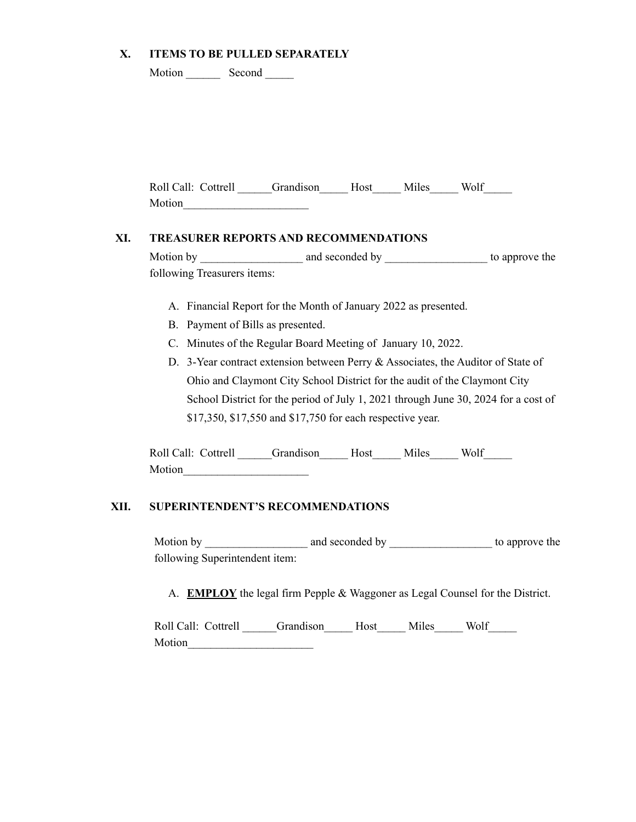### **X. ITEMS TO BE PULLED SEPARATELY**

| Motion | Second |
|--------|--------|
|        |        |

| Roll Call: Cottrell | Grandison Host | Miles | Wolf |  |
|---------------------|----------------|-------|------|--|
| Motion              |                |       |      |  |

#### **XI. TREASURER REPORTS AND RECOMMENDATIONS**

Motion by \_\_\_\_\_\_\_\_\_\_\_\_\_\_\_\_\_\_ and seconded by \_\_\_\_\_\_\_\_\_\_\_\_\_\_\_\_\_\_ to approve the following Treasurers items:

- A. Financial Report for the Month of January 2022 as presented.
- B. Payment of Bills as presented.
- C. Minutes of the Regular Board Meeting of January 10, 2022.
- D. 3-Year contract extension between Perry & Associates, the Auditor of State of Ohio and Claymont City School District for the audit of the Claymont City School District for the period of July 1, 2021 through June 30, 2024 for a cost of \$17,350, \$17,550 and \$17,750 for each respective year.

Roll Call: Cottrell Grandison Host Miles Wolf Motion\_\_\_\_\_\_\_\_\_\_\_\_\_\_\_\_\_\_\_\_\_\_

#### **XII. SUPERINTENDENT'S RECOMMENDATIONS**

Motion by \_\_\_\_\_\_\_\_\_\_\_\_\_\_\_\_\_\_ and seconded by \_\_\_\_\_\_\_\_\_\_\_\_\_\_\_\_\_\_ to approve the following Superintendent item:

A. **EMPLOY** the legal firm Pepple & Waggoner as Legal Counsel for the District.

| Roll Call: Cottrell | Grandison Host | Miles | Wolf |  |
|---------------------|----------------|-------|------|--|
| Motion              |                |       |      |  |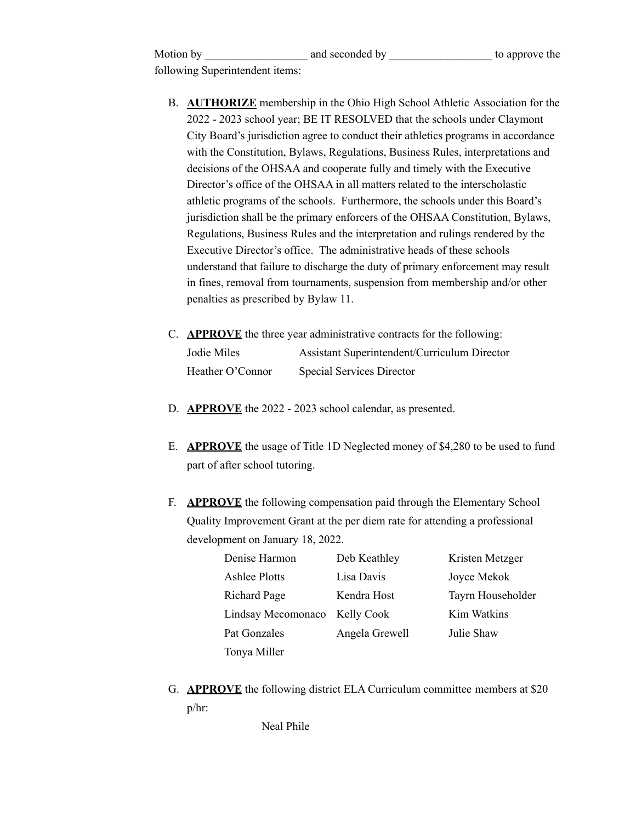| Motion by                       | and seconded by | to approve the |
|---------------------------------|-----------------|----------------|
| following Superintendent items: |                 |                |

- B. **AUTHORIZE** membership in the Ohio High School Athletic Association for the 2022 - 2023 school year; BE IT RESOLVED that the schools under Claymont City Board's jurisdiction agree to conduct their athletics programs in accordance with the Constitution, Bylaws, Regulations, Business Rules, interpretations and decisions of the OHSAA and cooperate fully and timely with the Executive Director's office of the OHSAA in all matters related to the interscholastic athletic programs of the schools. Furthermore, the schools under this Board's jurisdiction shall be the primary enforcers of the OHSAA Constitution, Bylaws, Regulations, Business Rules and the interpretation and rulings rendered by the Executive Director's office. The administrative heads of these schools understand that failure to discharge the duty of primary enforcement may result in fines, removal from tournaments, suspension from membership and/or other penalties as prescribed by Bylaw 11.
- C. **APPROVE** the three year administrative contracts for the following: Jodie Miles Assistant Superintendent/Curriculum Director Heather O'Connor Special Services Director
- D. **APPROVE** the 2022 2023 school calendar, as presented.
- E. **APPROVE** the usage of Title 1D Neglected money of \$4,280 to be used to fund part of after school tutoring.
- F. **APPROVE** the following compensation paid through the Elementary School Quality Improvement Grant at the per diem rate for attending a professional development on January 18, 2022.

| Denise Harmon        | Deb Keathley      | Kristen Metzger   |
|----------------------|-------------------|-------------------|
| <b>Ashlee Plotts</b> | Lisa Davis        | Joyce Mekok       |
| Richard Page         | Kendra Host       | Tayrn Householder |
| Lindsay Mecomonaco   | <b>Kelly Cook</b> | Kim Watkins       |
| Pat Gonzales         | Angela Grewell    | Julie Shaw        |
| Tonya Miller         |                   |                   |

G. **APPROVE** the following district ELA Curriculum committee members at \$20 p/hr:

Neal Phile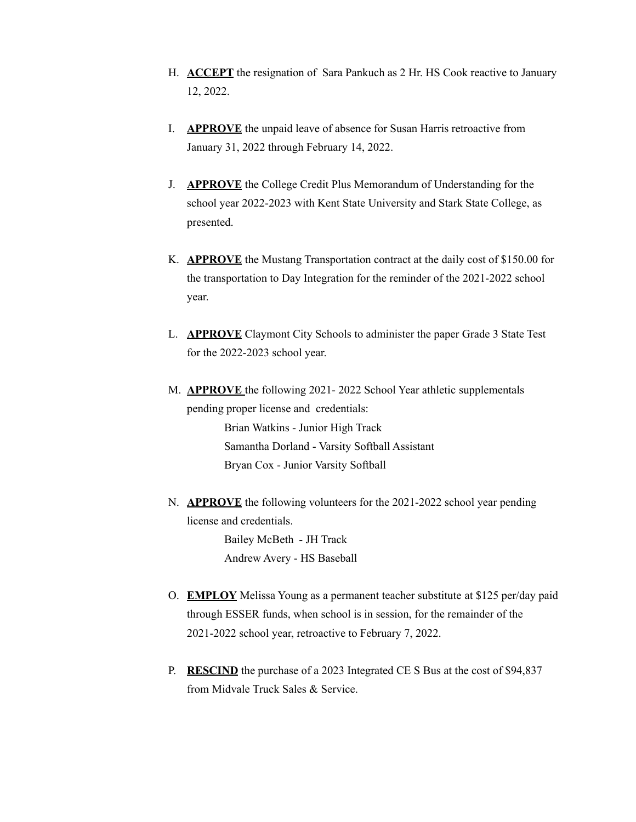- H. **ACCEPT** the resignation of Sara Pankuch as 2 Hr. HS Cook reactive to January 12, 2022.
- I. **APPROVE** the unpaid leave of absence for Susan Harris retroactive from January 31, 2022 through February 14, 2022.
- J. **APPROVE** the College Credit Plus Memorandum of Understanding for the school year 2022-2023 with Kent State University and Stark State College, as presented.
- K. **APPROVE** the Mustang Transportation contract at the daily cost of \$150.00 for the transportation to Day Integration for the reminder of the 2021-2022 school year.
- L. **APPROVE** Claymont City Schools to administer the paper Grade 3 State Test for the 2022-2023 school year.
- M. **APPROVE** the following 2021- 2022 School Year athletic supplementals pending proper license and credentials: Brian Watkins - Junior High Track Samantha Dorland - Varsity Softball Assistant Bryan Cox - Junior Varsity Softball
- N. **APPROVE** the following volunteers for the 2021-2022 school year pending license and credentials.

Bailey McBeth - JH Track Andrew Avery - HS Baseball

- O. **EMPLOY** Melissa Young as a permanent teacher substitute at \$125 per/day paid through ESSER funds, when school is in session, for the remainder of the 2021-2022 school year, retroactive to February 7, 2022.
- P. **RESCIND** the purchase of a 2023 Integrated CE S Bus at the cost of \$94,837 from Midvale Truck Sales & Service.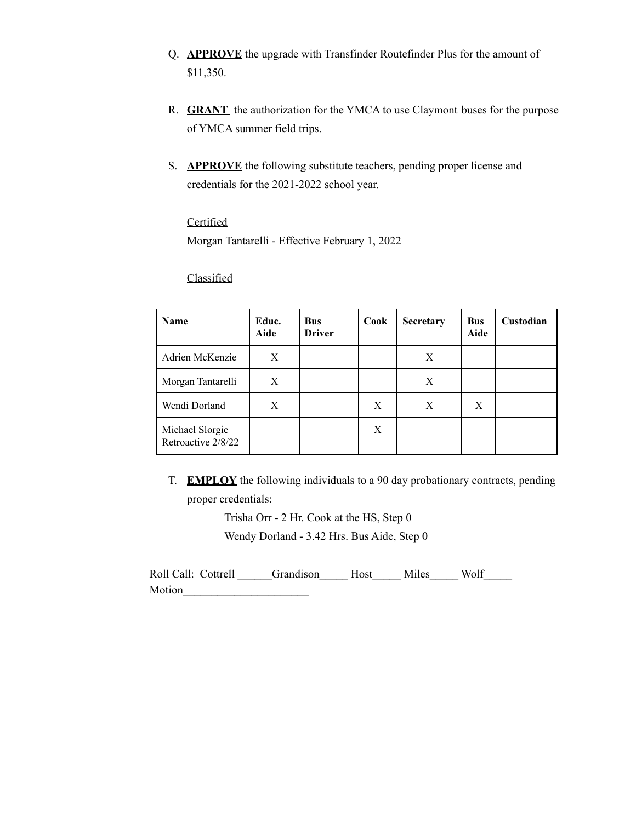- Q. **APPROVE** the upgrade with Transfinder Routefinder Plus for the amount of \$11,350.
- R. **GRANT** the authorization for the YMCA to use Claymont buses for the purpose of YMCA summer field trips.
- S. **APPROVE** the following substitute teachers, pending proper license and credentials for the 2021-2022 school year.

# **Certified**

Morgan Tantarelli - Effective February 1, 2022

# **Classified**

| <b>Name</b>                           | Educ.<br>Aide | <b>Bus</b><br><b>Driver</b> | Cook | <b>Secretary</b> | <b>Bus</b><br>Aide | Custodian |
|---------------------------------------|---------------|-----------------------------|------|------------------|--------------------|-----------|
| Adrien McKenzie                       | X             |                             |      | X                |                    |           |
| Morgan Tantarelli                     | X             |                             |      | X                |                    |           |
| Wendi Dorland                         | Χ             |                             | X    | X                | X                  |           |
| Michael Slorgie<br>Retroactive 2/8/22 |               |                             | X    |                  |                    |           |

T. **EMPLOY** the following individuals to a 90 day probationary contracts, pending proper credentials:

> Trisha Orr - 2 Hr. Cook at the HS, Step 0 Wendy Dorland - 3.42 Hrs. Bus Aide, Step 0

| Roll Call: Cottrell | Grandison Host Miles |  | Wolf |
|---------------------|----------------------|--|------|
| Motion              |                      |  |      |